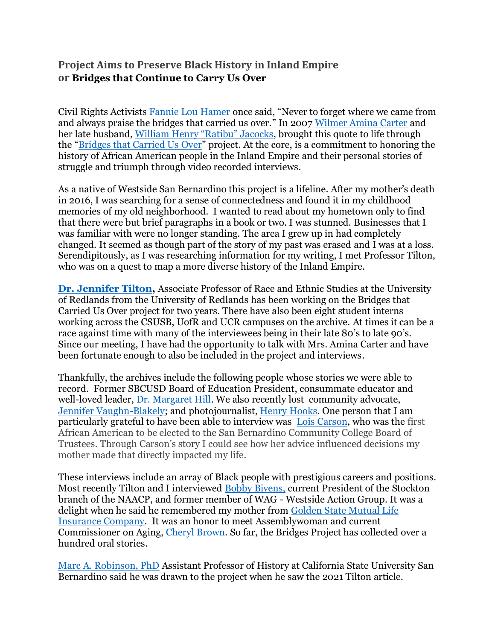## **Project Aims to Preserve Black History in Inland Empire or Bridges that Continue to Carry Us Over**

Civil Rights Activists [Fannie Lou Hamer](https://snccdigital.org/people/fannie-lou-hamer/) once said, "Never to forget where we came from and always praise the bridges that carried us over." In 2007 [Wilmer Amina Carter](https://ballotpedia.org/Wilmer_Carter) and her late husband, [William Henry "Ratibu" Jacocks](https://theievoice.com/a-community-bids-farewell-to-a-beloved-leader-bill-ratibu-jacocks/), brought this quote to life through the "[Bridges that Carried Us Over](https://www.facebook.com/IEBlackHistory)" project. At the core, is a commitment to honoring the history of African American people in the Inland Empire and their personal stories of struggle and triumph through video recorded interviews.

As a native of Westside San Bernardino this project is a lifeline. After my mother's death in 2016, I was searching for a sense of connectedness and found it in my childhood memories of my old neighborhood. I wanted to read about my hometown only to find that there were but brief paragraphs in a book or two. I was stunned. Businesses that I was familiar with were no longer standing. The area I grew up in had completely changed. It seemed as though part of the story of my past was erased and I was at a loss. Serendipitously, as I was researching information for my writing, I met Professor Tilton, who was on a quest to map a more diverse history of the Inland Empire.

**[Dr. Jennifer Tilton,](https://www.redlands.edu/study/schools-and-centers/college-of-arts-and-sciences/undergraduate-studies/race-and-ethnic-studies/meet-our-faculty/jennifer-tilton/)** Associate Professor of Race and Ethnic Studies at the University of Redlands from the University of Redlands has been working on the Bridges that Carried Us Over project for two years. There have also been eight student interns working across the CSUSB, UofR and UCR campuses on the archive. At times it can be a race against time with many of the interviewees being in their late 80's to late 90's. Since our meeting, I have had the opportunity to talk with Mrs. Amina Carter and have been fortunate enough to also be included in the project and interviews.

Thankfully, the archives include the following people whose stories we were able to record. Former SBCUSD Board of Education President, consummate educator and well-loved leader, [Dr. Margaret Hill.](https://www.sbcusd.com/news/archived_news/sbcusd_mourns_passing_of_dr_margaret_hill) We also recently lost community advocate, [Jennifer Vaughn-Blakely;](https://www.pe.com/2022/01/19/jennifer-vaughn-blakely-leader-in-riversides-black-community-dies/) and photojournalist, [Henry Hooks.](https://www.precinctreporter.com/2021/12/02/photographer-henry-hooks-succumbs-at-99/) One person that I am particularly grateful to have been able to interview was [Lois Carson,](https://www.sbvcfoundation.org/sbvc-alumni/hall-of-fame/lois-montgomery-carson.php) who was the first African American to be elected to the San Bernardino Community College Board of Trustees. Through Carson's story I could see how her advice influenced decisions my mother made that directly impacted my life.

These interviews include an array of Black people with prestigious careers and positions. Most recently Tilton and I interviewed [Bobby Bivens,](http://www.stocktonnaacp.org/MESSAGE-FROM-THE-PRESIDENT) current President of the Stockton branch of the NAACP, and former member of WAG - Westside Action Group. It was a delight when he said he remembered my mother from [Golden State Mutual Life](https://la.curbed.com/2020/2/18/21138451/golden-state-mutual-life-insurance-building-los-angeles)  [Insurance Company.](https://la.curbed.com/2020/2/18/21138451/golden-state-mutual-life-insurance-building-los-angeles) It was an honor to meet Assemblywoman and current Commissioner on Aging, [Cheryl Brown.](https://www.linkedin.com/in/cheryl-brown-017b59132) So far, the Bridges Project has collected over a hundred oral stories.

[Marc A. Robinson, PhD](https://www.csusb.edu/profile/marc.robinson) Assistant Professor of History at California State University San Bernardino said he was drawn to the project when he saw the 2021 Tilton article.